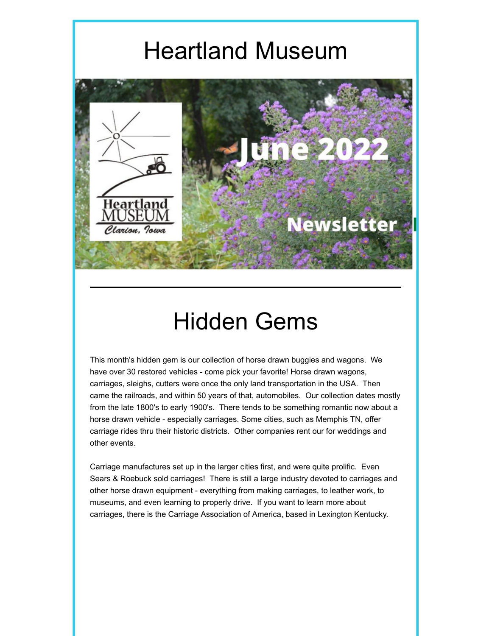## Heartland Museum



# Hidden Gems

This month's hidden gem is our collection of horse drawn buggies and wagons. We have over 30 restored vehicles - come pick your favorite! Horse drawn wagons, carriages, sleighs, cutters were once the only land transportation in the USA. Then came the railroads, and within 50 years of that, automobiles. Our collection dates mostly from the late 1800's to early 1900's. There tends to be something romantic now about a horse drawn vehicle - especially carriages. Some cities, such as Memphis TN, offer carriage rides thru their historic districts. Other companies rent our for weddings and other events.

Carriage manufactures set up in the larger cities first, and were quite prolific. Even Sears & Roebuck sold carriages! There is still a large industry devoted to carriages and other horse drawn equipment - everything from making carriages, to leather work, to museums, and even learning to properly drive. If you want to learn more about carriages, there is the Carriage Association of America, based in Lexington Kentucky.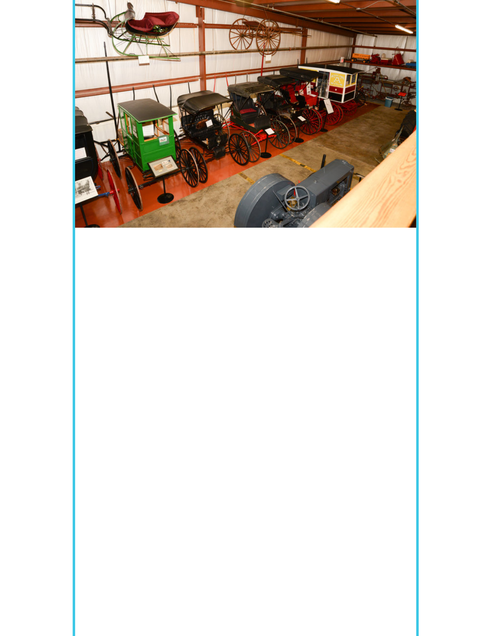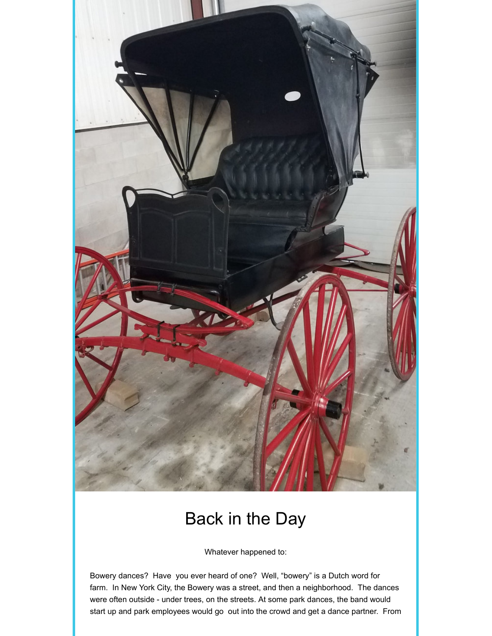

### Back in the Day

Whatever happened to:

Bowery dances? Have you ever heard of one? Well, "bowery" is a Dutch word for farm. In New York City, the Bowery was a street, and then a neighborhood. The dances were often outside - under trees, on the streets. At some park dances, the band would start up and park employees would go out into the crowd and get a dance partner. From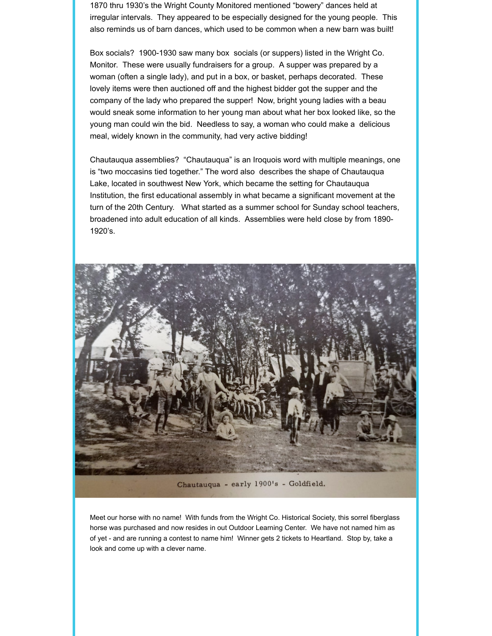1870 thru 1930's the Wright County Monitored mentioned "bowery" dances held at irregular intervals. They appeared to be especially designed for the young people. This also reminds us of barn dances, which used to be common when a new barn was built!

Box socials? 1900-1930 saw many box socials (or suppers) listed in the Wright Co. Monitor. These were usually fundraisers for a group. A supper was prepared by a woman (often a single lady), and put in a box, or basket, perhaps decorated. These lovely items were then auctioned off and the highest bidder got the supper and the company of the lady who prepared the supper! Now, bright young ladies with a beau would sneak some information to her young man about what her box looked like, so the young man could win the bid. Needless to say, a woman who could make a delicious meal, widely known in the community, had very active bidding!

Chautauqua assemblies? "Chautauqua" is an Iroquois word with multiple meanings, one is "two moccasins tied together." The word also describes the shape of Chautauqua Lake, located in southwest New York, which became the setting for Chautauqua Institution, the first educational assembly in what became a significant movement at the turn of the 20th Century. What started as a summer school for Sunday school teachers, broadened into adult education of all kinds. Assemblies were held close by from 1890- 1920's.



Chautauqua - early 1900's - Goldfield.

Meet our horse with no name! With funds from the Wright Co. Historical Society, this sorrel fiberglass horse was purchased and now resides in out Outdoor Learning Center. We have not named him as of yet - and are running a contest to name him! Winner gets 2 tickets to Heartland. Stop by, take a look and come up with a clever name.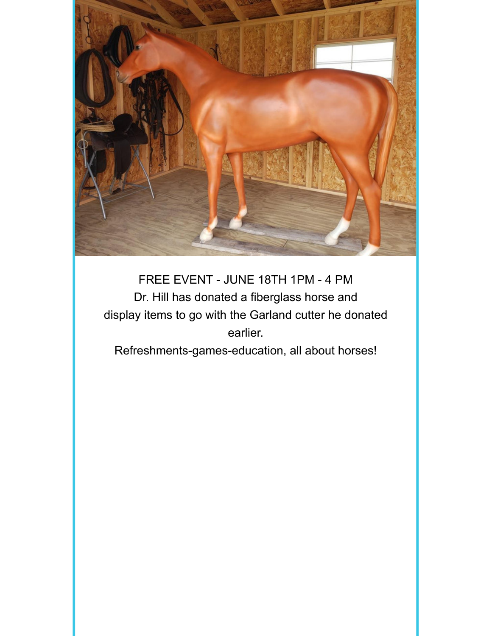

FREE EVENT - JUNE 18TH 1PM - 4 PM Dr. Hill has donated a fiberglass horse and display items to go with the Garland cutter he donated earlier.

Refreshments-games-education, all about horses!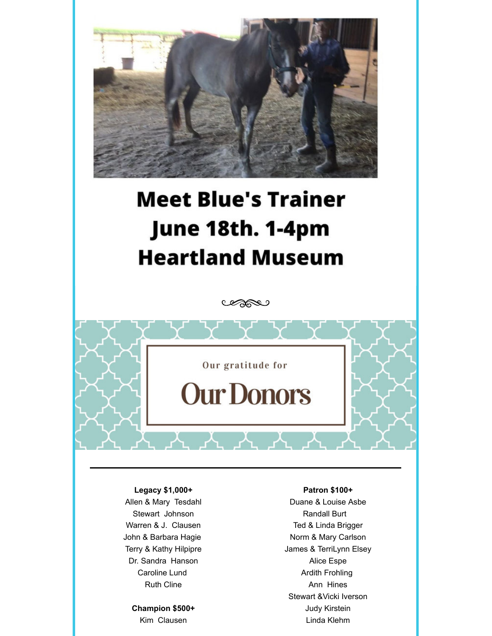

# **Meet Blue's Trainer** June 18th. 1-4pm **Heartland Museum**

ce ver



#### **Legacy \$1,000+**

Allen & Mary Tesdahl Stewart Johnson Warren & J. Clausen John & Barbara Hagie Terry & Kathy Hilpipre Dr. Sandra Hanson Caroline Lund Ruth Cline

#### **Champion \$500+** Kim Clausen

#### **Patron \$100+**

Duane & Louise Asbe Randall Burt Ted & Linda Brigger Norm & Mary Carlson James & TerriLynn Elsey Alice Espe Ardith Frohling Ann Hines Stewart &Vicki Iverson Judy Kirstein Linda Klehm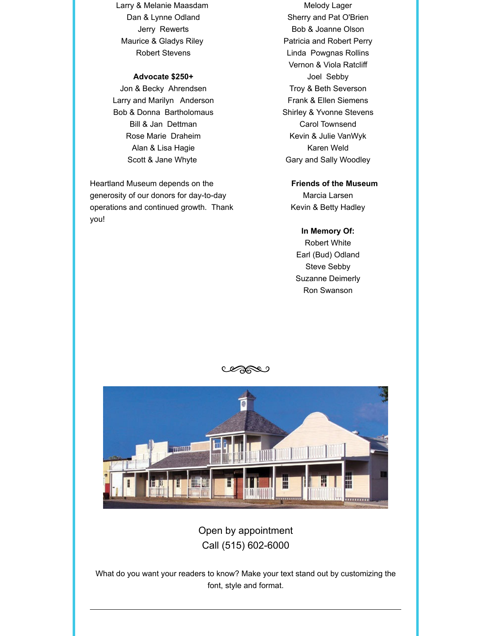Larry & Melanie Maasdam Dan & Lynne Odland Jerry Rewerts Maurice & Gladys Riley Robert Stevens

#### **Advocate \$250+**

Jon & Becky Ahrendsen Larry and Marilyn Anderson Bob & Donna Bartholomaus Bill & Jan Dettman Rose Marie Draheim Alan & Lisa Hagie Scott & Jane Whyte

Heartland Museum depends on the generosity of our donors for day-to-day operations and continued growth. Thank you!

Melody Lager Sherry and Pat O'Brien Bob & Joanne Olson Patricia and Robert Perry Linda Powgnas Rollins Vernon & Viola Ratcliff Joel Sebby Troy & Beth Severson Frank & Ellen Siemens Shirley & Yvonne Stevens Carol Townsend Kevin & Julie VanWyk Karen Weld Gary and Sally Woodley

**Friends of the Museum** Marcia Larsen Kevin & Betty Hadley

#### **In Memory Of:**

Robert White Earl (Bud) Odland Steve Sebby Suzanne Deimerly Ron Swanson

<u>Control</u>



Open by appointment Call (515) 602-6000

What do you want your readers to know? Make your text stand out by customizing the font, style and format.